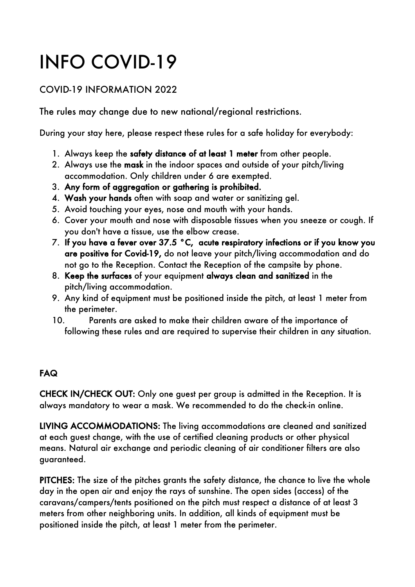## INFO COVID-19

## COVID-19 INFORMATION 2022

The rules may change due to new national/regional restrictions.

During your stay here, please respect these rules for a safe holiday for everybody:

- 1. Always keep the safety distance of at least 1 meter from other people.
- 2. Always use the mask in the indoor spaces and outside of your pitch/living accommodation. Only children under 6 are exempted.
- 3. Any form of aggregation or gathering is prohibited.
- 4. Wash your hands often with soap and water or sanitizing gel.
- 5. Avoid touching your eyes, nose and mouth with your hands.
- 6. Cover your mouth and nose with disposable tissues when you sneeze or cough. If you don't have a tissue, use the elbow crease.
- 7. If you have a fever over 37.5 °C, acute respiratory infections or if you know you are positive for Covid-19, do not leave your pitch/living accommodation and do not go to the Reception. Contact the Reception of the campsite by phone.
- 8. Keep the surfaces of your equipment always clean and sanitized in the pitch/living accommodation.
- 9. Any kind of equipment must be positioned inside the pitch, at least 1 meter from the perimeter.
- 10. Parents are asked to make their children aware of the importance of following these rules and are required to supervise their children in any situation.

## FAQ

CHECK IN/CHECK OUT: Only one guest per group is admitted in the Reception. It is always mandatory to wear a mask. We recommended to do the check-in online.

LIVING ACCOMMODATIONS: The living accommodations are cleaned and sanitized at each guest change, with the use of certified cleaning products or other physical means. Natural air exchange and periodic cleaning of air conditioner filters are also guaranteed.

PITCHES: The size of the pitches grants the safety distance, the chance to live the whole day in the open air and enjoy the rays of sunshine. The open sides (access) of the caravans/campers/tents positioned on the pitch must respect a distance of at least 3 meters from other neighboring units. In addition, all kinds of equipment must be positioned inside the pitch, at least 1 meter from the perimeter.